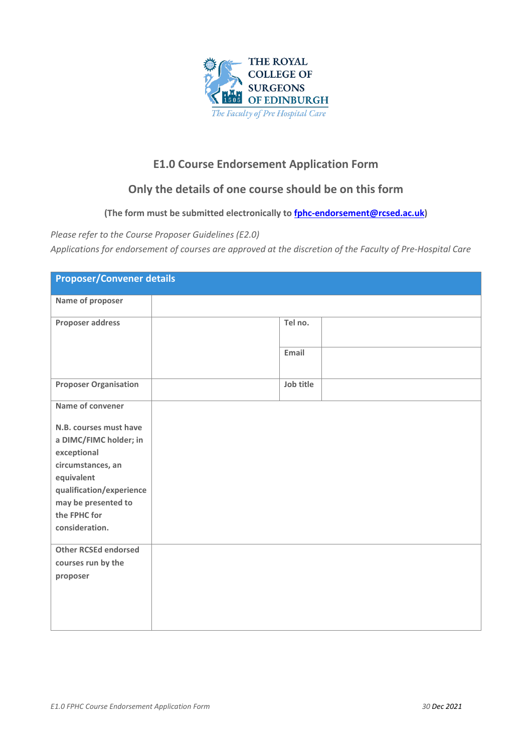

## **E1.0 Course Endorsement Application Form**

## **Only the details of one course should be on this form**

## **(The form must be submitted electronically to [fphc-endorsement@rcsed.ac.uk\)](about:blank)**

*Please refer to the Course Proposer Guidelines (E2.0)*

*Applications for endorsement of courses are approved at the discretion of the Faculty of Pre-Hospital Care*

| <b>Proposer/Convener details</b>                 |           |  |  |
|--------------------------------------------------|-----------|--|--|
| Name of proposer                                 |           |  |  |
| Proposer address                                 | Tel no.   |  |  |
|                                                  | Email     |  |  |
| <b>Proposer Organisation</b>                     | Job title |  |  |
| Name of convener                                 |           |  |  |
| N.B. courses must have<br>a DIMC/FIMC holder; in |           |  |  |
| exceptional<br>circumstances, an<br>equivalent   |           |  |  |
| qualification/experience<br>may be presented to  |           |  |  |
| the FPHC for<br>consideration.                   |           |  |  |
| <b>Other RCSEd endorsed</b>                      |           |  |  |
| courses run by the                               |           |  |  |
| proposer                                         |           |  |  |
|                                                  |           |  |  |
|                                                  |           |  |  |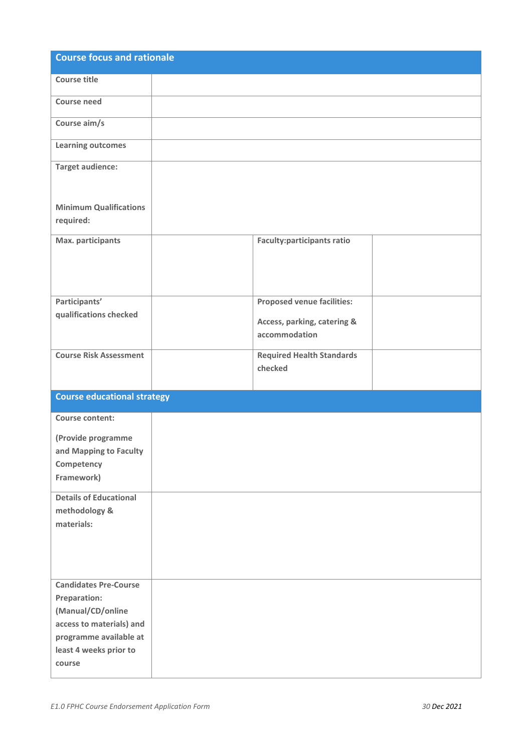| <b>Course focus and rationale</b>                |                                              |  |
|--------------------------------------------------|----------------------------------------------|--|
| <b>Course title</b>                              |                                              |  |
| Course need                                      |                                              |  |
| Course aim/s                                     |                                              |  |
| <b>Learning outcomes</b>                         |                                              |  |
| <b>Target audience:</b>                          |                                              |  |
| <b>Minimum Qualifications</b><br>required:       |                                              |  |
| Max. participants                                | <b>Faculty:participants ratio</b>            |  |
| Participants'                                    | <b>Proposed venue facilities:</b>            |  |
| qualifications checked                           | Access, parking, catering &<br>accommodation |  |
| <b>Course Risk Assessment</b>                    | <b>Required Health Standards</b><br>checked  |  |
| <b>Course educational strategy</b>               |                                              |  |
| Course content:                                  |                                              |  |
| (Provide programme                               |                                              |  |
| and Mapping to Faculty<br>Competency             |                                              |  |
| Framework)                                       |                                              |  |
| <b>Details of Educational</b><br>methodology &   |                                              |  |
| materials:                                       |                                              |  |
|                                                  |                                              |  |
| <b>Candidates Pre-Course</b>                     |                                              |  |
| Preparation:<br>(Manual/CD/online                |                                              |  |
| access to materials) and                         |                                              |  |
| programme available at<br>least 4 weeks prior to |                                              |  |
| course                                           |                                              |  |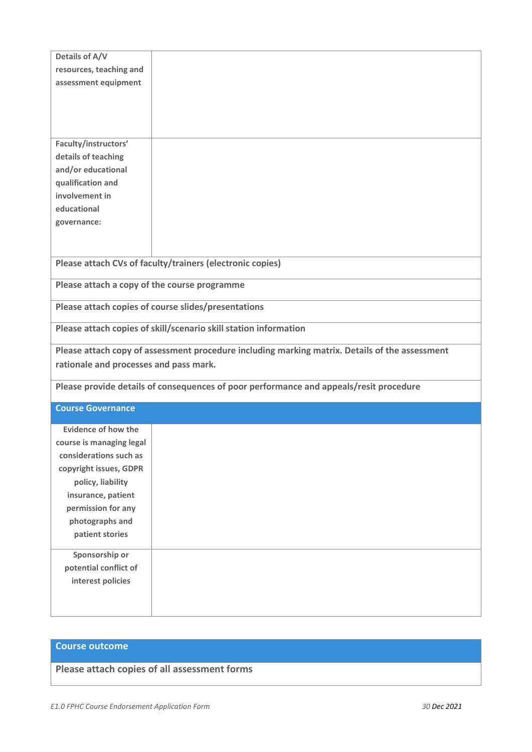| Details of A/V                                                                                 |                                                                  |  |
|------------------------------------------------------------------------------------------------|------------------------------------------------------------------|--|
| resources, teaching and                                                                        |                                                                  |  |
| assessment equipment                                                                           |                                                                  |  |
|                                                                                                |                                                                  |  |
|                                                                                                |                                                                  |  |
|                                                                                                |                                                                  |  |
|                                                                                                |                                                                  |  |
| Faculty/instructors'                                                                           |                                                                  |  |
| details of teaching<br>and/or educational                                                      |                                                                  |  |
| qualification and                                                                              |                                                                  |  |
| involvement in                                                                                 |                                                                  |  |
| educational                                                                                    |                                                                  |  |
|                                                                                                |                                                                  |  |
| governance:                                                                                    |                                                                  |  |
|                                                                                                |                                                                  |  |
|                                                                                                |                                                                  |  |
| Please attach CVs of faculty/trainers (electronic copies)                                      |                                                                  |  |
| Please attach a copy of the course programme                                                   |                                                                  |  |
|                                                                                                | Please attach copies of course slides/presentations              |  |
|                                                                                                | Please attach copies of skill/scenario skill station information |  |
|                                                                                                |                                                                  |  |
| Please attach copy of assessment procedure including marking matrix. Details of the assessment |                                                                  |  |
| rationale and processes and pass mark.                                                         |                                                                  |  |
| Please provide details of consequences of poor performance and appeals/resit procedure         |                                                                  |  |
| <b>Course Governance</b>                                                                       |                                                                  |  |
|                                                                                                |                                                                  |  |
| <b>Evidence of how the</b>                                                                     |                                                                  |  |
| course is managing legal                                                                       |                                                                  |  |
| considerations such as                                                                         |                                                                  |  |
| copyright issues, GDPR                                                                         |                                                                  |  |
| policy, liability                                                                              |                                                                  |  |
| insurance, patient                                                                             |                                                                  |  |
| permission for any                                                                             |                                                                  |  |
| photographs and                                                                                |                                                                  |  |
| patient stories                                                                                |                                                                  |  |
| Sponsorship or                                                                                 |                                                                  |  |
| potential conflict of                                                                          |                                                                  |  |
| interest policies                                                                              |                                                                  |  |
|                                                                                                |                                                                  |  |
|                                                                                                |                                                                  |  |

## **Course outcome**

**Please attach copies of all assessment forms**